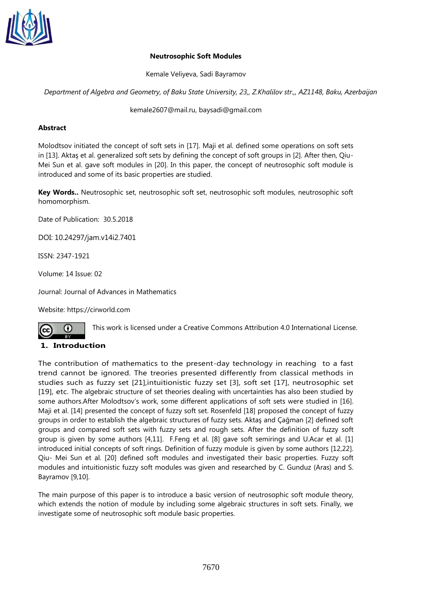

### **Neutrosophic Soft Modules**

Kemale Veliyeva, Sadi Bayramov

*Department of Algebra and Geometry, of Baku State University, 23,, Z.Khalilov str.,, AZ1148, Baku, Azerbaijan*

[kemale2607@mail.ru,](mailto:kemale2607@mail.ru) [baysadi@gmail.com](mailto:baysadi@gmail.com)

### **Abstract**

Molodtsov initiated the concept of soft sets in [17]. Maji et al. defined some operations on soft sets in [13]. Aktaş et al. generalized soft sets by defining the concept of soft groups in [2]. After then, Qiu-Mei Sun et al. gave soft modules in [20]. In this paper, the concept of neutrosophic soft module is introduced and some of its basic properties are studied.

**Key Words..** Neutrosophic set, neutrosophic soft set, neutrosophic soft modules, neutrosophic soft homomorphism.

Date of Publication: 30.5.2018

DOI: 10.24297/jam.v14i2.7401

ISSN: 2347-1921

Volume: 14 Issue: 02

Journal: [Journal of Advances in Mathematics](https://cirworld.com/index.php/jam)

Website: [https://cirworld.com](https://cirworld.com/)

∩

This work is licensed under a Creative Commons Attribution 4.0 International License.

## **1. Introduction**

The contribution of mathematics to the present-day technology in reaching to a fast trend cannot be ignored. The treories presented differently from classical methods in studies such as fuzzy set [21],intuitionistic fuzzy set [3], soft set [17], neutrosophic set [19], etc. The algebraic structure of set theories dealing with uncertainties has also been studied by some authors.After Molodtsov's work, some different applications of soft sets were studied in [16]. Maji et al. [14] presented the concept of fuzzy soft set. Rosenfeld [18] proposed the concept of fuzzy groups in order to establish the algebraic structures of fuzzy sets. Aktaş and Çağman [2] defined soft groups and compared soft sets with fuzzy sets and rough sets. After the definition of fuzzy soft group is given by some authors [4,11]. F.Feng et al. [8] gave soft semirings and U.Acar et al. [1] introduced initial concepts of soft rings. Definition of fuzzy module is given by some authors [12,22]. Qiu- Mei Sun et al. [20] defined soft modules and investigated their basic properties. Fuzzy soft modules and intuitionistic fuzzy soft modules was given and researched by C. Gunduz (Aras) and S. Bayramov [9,10].

The main purpose of this paper is to introduce a basic version of neutrosophic soft module theory, which extends the notion of module by including some algebraic structures in soft sets. Finally, we investigate some of neutrosophic soft module basic properties.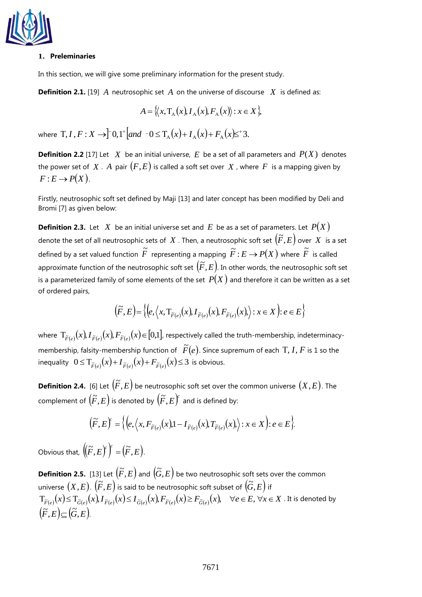

#### **1. Preleminaries**

In this section, we will give some preliminary information for the present study.

**Definition 2.1.** [19]  $\overline{A}$  neutrosophic set  $\overline{A}$  on the universe of discourse  $\overline{X}$  is defined as:

$$
A = \langle\langle x, T_A(x), I_A(x), F_A(x)\rangle : x \in X\rangle,
$$

where  $T, I, F: X \rightarrow \uparrow 0, 1^+ | and \neg 0 \leq T_{\Lambda}(x) + I_{\Lambda}(x) + F_{\Lambda}(x) \leq^+ 3.$  $T, I, F: X \to \int 0, 1^+ \left[ \text{and} \left[ 0 \le T_{A}(x) + I_{A}(x) + F_{A}(x) \right] \right]$ 

**Definition 2.2** [17] Let  $X$  be an initial universe,  $E$  be a set of all parameters and  $P(X)$  denotes the power set of  $X$  . A pair  $(F, E)$  is called a soft set over  $X$  , where  $F$  is a mapping given by  $F: E \to P(X)$ .

Firstly, neutrosophic soft set defined by Maji [13] and later concept has been modified by Deli and Bromi [7] as given below:

**Definition 2.3.** Let  $X$  be an initial universe set and  $E$  be as a set of parameters. Let  $P(X)$ denote the set of all neutrosophic sets of  $|X|$ . Then, a neutrosophic soft set  $(\widetilde{F}, E)$  over  $|X|$  is a set defined by a set valued function  $\widetilde{F}$  representing a mapping  $\widetilde{F}$  :  $E \to P(X)$  where  $\widetilde{F}$  is called approximate function of the neutrosophic soft set  $(F, E)$ . In other words, the neutrosophic soft set is a parameterized family of some elements of the set  $\,P(X)$  and therefore it can be written as a set of ordered pairs,

$$
\left(\widetilde{F},E\right) = \left\{ \left(e, \left\langle x, T_{\widetilde{F}\left(e\right)}(x), I_{\widetilde{F}\left(e\right)}(x), F_{\widetilde{F}\left(e\right)}(x)\right\rangle : x \in X\right) : e \in E \right\}
$$

where  $\prod_{\widetilde{F}(e)}(x)$ ,  $I_{\widetilde{F}(e)}(x)$ ,  $F_{\widetilde{F}(e)}(x)$   $\in$   $[0,1]$ , respectively called the truth-membership, indeterminacymembership, falsity-membership function of  $\widetilde{F}(e)$ . Since supremum of each T, I, F is 1 so the inequality  $0 \leq T_{\widetilde{F}(e)}(x) + I_{\widetilde{F}(e)}(x) + F_{\widetilde{F}(e)}(x) \leq 3$  is obvious.

**Definition 2.4.** [6] Let  $(\widetilde{F},E)$  be neutrosophic soft set over the common universe  $(X,E)$ . The complement of  $\left(\widetilde{F},E\right)$  is denoted by  $\left(\widetilde{F},E\right)^c$  and is defined by:

$$
(\widetilde{F},E)^c = \Big\{ \Big(e, \Big\langle x, F_{\widetilde{F}(e)}(x), 1 - I_{\widetilde{F}(e)}(x), T_{\widetilde{F}(e)}(x), \Big\rangle : x \in X \Big) : e \in E \Big\}.
$$

Obvious that,  $(\!({\widetilde{F}},E)^c\!)\!)^c = (\widetilde{F},E).$ 

**Definition 2.5.** [13] Let  $\left(\widetilde{F},E\right)$  and  $\left(\widetilde{G},E\right)$  be two neutrosophic soft sets over the common universe  $(X, E)$ .  $(\widetilde{F}, E)$  is said to be neutrosophic soft subset of  $(\widetilde{G}, E)$  if  $\mathrm{T}_{\widetilde{F}(e)}(x)$  $\leq \mathrm{T}_{\widetilde{G}(e)}(x)$ ,  $I_{\widetilde{F}(e)}(x)$   $\leq I_{\widetilde{G}(e)}(x)$ ,  $F_{\widetilde{F}(e)}(x)$   $\geq F_{\widetilde{G}(e)}(x)$ ,  $\quad \forall e \in E, \, \forall x \in X$  . It is denoted by  $(\widetilde{F},E) \subseteq (\widetilde{G},E).$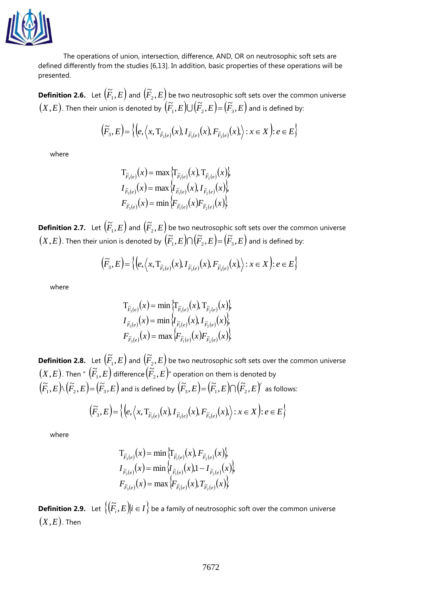

The operations of union, intersection, difference, AND, OR on neutrosophic soft sets are defined differently from the studies [6,13]. In addition, basic properties of these operations will be presented.

**Definition 2.6.** Let  $(\widetilde{F}_1, E)$  $\left(\tilde{F}_{2},E\right)$  and  $\left(\tilde{F}_{2},E\right)^{2}$  $\mathcal{F}_{2},E\big)$  be two neutrosophic soft sets over the common universe  $(X,E)$  . Then their union is denoted by  $\H(\widetilde{F}_1,E\bigcup \bigcup \bigl(\widetilde{F}_2,E\bigl)=\bigl(\widetilde{F}_3,E\bigr)$  and is defined by:

$$
\left(\widetilde{F}_3,E\right) = \left\{\left(e, \left\langle x, \mathrm{T}_{\widetilde{F}_3(e)}(x), I_{\widetilde{F}_3(e)}(x), F_{\widetilde{F}_3(e)}(x)\right\rangle : x \in X\right) : e \in E\right\}
$$

where

$$
T_{\widetilde{F}_3(e)}(x) = \max \{ T_{\widetilde{F}_1(e)}(x), T_{\widetilde{F}_2(e)}(x) \},
$$
  

$$
I_{\widetilde{F}_3(e)}(x) = \max \{ I_{\widetilde{F}_1(e)}(x), I_{\widetilde{F}_2(e)}(x) \},
$$
  

$$
F_{\widetilde{F}_3(e)}(x) = \min \{ F_{\widetilde{F}_1(e)}(x) F_{\widetilde{F}_2(e)}(x) \}
$$

**Definition 2.7.** Let  $(\widetilde{F}_1, E)$  $\left(\tilde{F}_{2},E\right)$  and  $\left(\tilde{F}_{2},E\right)^{2}$  $\mathcal{F}_{2},E\big)$  be two neutrosophic soft sets over the common universe  $(X,E)$  . Then their union is denoted by  $\H(\widetilde{F}_1,E)\cap\H(\widetilde{F}_2,E)\= \H(\widetilde{F}_3,E\H)$  and is defined by:

$$
\left(\widetilde{F}_{3},E\right)=\left\{\left(e,\left\langle x,\mathrm{T}_{\widetilde{F}_{3}\left(e\right)}(x),I_{\widetilde{F}_{3}\left(e\right)}(x),F_{\widetilde{F}_{3}\left(e\right)}(x),\right\rangle :x\in X\right):e\in E\right\}
$$

where

$$
T_{\tilde{F}_3(e)}(x) = \min \{ T_{\tilde{F}_1(e)}(x), T_{\tilde{F}_2(e)}(x) \},
$$
  

$$
I_{\tilde{F}_3(e)}(x) = \min \{ I_{\tilde{F}_1(e)}(x), I_{\tilde{F}_2(e)}(x) \},
$$
  

$$
F_{\tilde{F}_3(e)}(x) = \max \{ F_{\tilde{F}_1(e)}(x) F_{\tilde{F}_2(e)}(x) \}
$$

**Definition 2.8.** Let  $(\widetilde{F}_1, E)$  $\left(\tilde{F}_{2},E\right)$  and  $\left(\tilde{F}_{2},E\right)^{2}$  $\mathcal{F}_{2},E\big)$  be two neutrosophic soft sets over the common universe  $\left(X,E\right)$ . Then "  $\left(\widetilde{F}_{1},E\right)^{2}$  $\left(\tilde{\vec{F}}_2, \vec{E}\right)$  difference  $\left(\tilde{\vec{F}}_2, \vec{E}\right)^n$  $\Gamma_{2},E$  )" operation on them is denoted by  $\Gamma$  $\left(\widetilde{F}_1,E\right)\!\backslash\!\left(\widetilde{F}_2,E\right)\!=\!\left(\widetilde{F}_3,E\right)$  and is defined by  $\left(\widetilde{F}_3,E\right)\!=\!\left(\widetilde{F}_1,E\right)\!\cap\!\left(\widetilde{F}_2,E\right)^c$  as follows:

$$
\left(\widetilde{F}_3,E\right) = \left\{ \left(e,\left\langle x, T_{\widetilde{F}_3(e)}(x), I_{\widetilde{F}_3(e)}(x), F_{\widetilde{F}_3(e)}(x)\right\rangle : x \in X\right) : e \in E \right\}
$$

where

$$
T_{\tilde{F}_3(e)}(x) = \min \{ T_{\tilde{F}_1(e)}(x), F_{\tilde{F}_2(e)}(x) \},
$$
  
\n
$$
I_{\tilde{F}_3(e)}(x) = \min \{ I_{\tilde{F}_1(e)}(x), 1 - I_{\tilde{F}_2(e)}(x) \},
$$
  
\n
$$
F_{\tilde{F}_3(e)}(x) = \max \{ F_{\tilde{F}_1(e)}(x), T_{\tilde{F}_2(e)}(x) \}.
$$

**Definition 2.9.** Let  $\{(\widetilde{F}_i, E)|i \in I\}$  be a family of neutrosophic soft over the common universe  $(X,E)$ . Then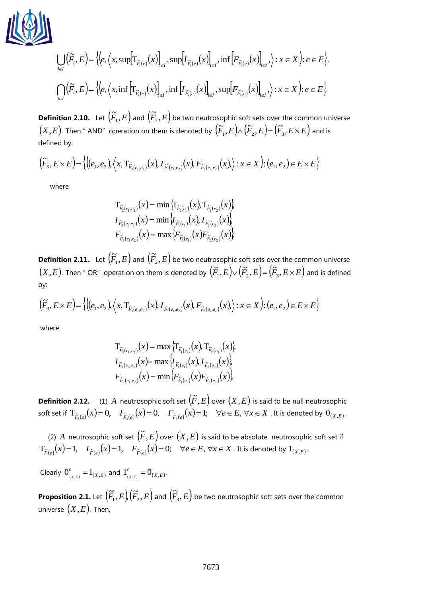

$$
\bigcup_{i \in I} (\widetilde{F}_i, E) = \Big\langle \Big(e, \Big\langle x, \sup \Big[T_{\widetilde{F}_i(e)}(x)\Big]_{\in I}, \sup \Big[T_{\widetilde{F}_i(e)}(x)\Big]_{\in I}, \inf \Big[F_{\widetilde{F}_i(e)}(x)\Big]_{\in I}, \Big\rangle: x \in X \Big) : e \in E \Big\rangle,
$$
  

$$
\bigcap_{i \in I} (\widetilde{F}_i, E) = \Big\langle \Big(e, \Big\langle x, \inf \Big[T_{\widetilde{F}_i(e)}(x)\Big]_{\in I}, \inf \Big[T_{\widetilde{F}_i(e)}(x)\Big]_{\in I}, \sup \Big[F_{\widetilde{F}_i(e)}(x)\Big]_{\in I}, \Big\rangle: x \in X \Big) : e \in E \Big\rangle.
$$

**Definition 2.10.** Let  $(\widetilde{F}_1, E)$  $(\tilde{F}_{2},E)$  and  $(\tilde{F}_{2},E)$  $\mathcal{F}_{2},E\big)$  be two neutrosophic soft sets over the common universe  $(X, E)$ . Then " AND" operation on them is denoted by  $(\widetilde{F}_1, E) \wedge (\widetilde{F}_2, E) = (\widetilde{F}_3, E \times E)$  $(F_{1},E)\!\wedge\! (F_{2},E)\!=\! (F_{3},E\!\times\!E)$  and is defined by:

$$
(\widetilde{F}_3, E \times E) = \left\{ \left( (e_1, e_2), \left\langle x, T_{\widetilde{F}_3(e_1, e_2)}(x), I_{\widetilde{F}_3(e_1, e_2)}(x), F_{\widetilde{F}_3(e_1, e_2)}(x) \right\rangle : x \in X \right) : (e_1, e_2) \in E \times E \right\}
$$

where

$$
T_{\tilde{F}_3(e_1,e_2)}(x) = \min \{T_{\tilde{F}_1(e_1)}(x), T_{\tilde{F}_2(e_2)}(x)\},
$$
  

$$
I_{\tilde{F}_3(e_1,e_2)}(x) = \min \{I_{\tilde{F}_1(e_1)}(x), I_{\tilde{F}_2(e_2)}(x)\},
$$
  

$$
F_{\tilde{F}_3(e_1,e_2)}(x) = \max \{F_{\tilde{F}_1(e_1)}(x)F_{\tilde{F}_2(e_2)}(x)\}
$$

**Definition 2.11.** Let  $\left(\widetilde{F}_1, E\right)$  $(\tilde{F}_{2},E)$  and  $(\tilde{F}_{2},E)$  $\mathcal{F}_{2},E\big)$  be two neutrosophic soft sets over the common universe  $(X, E)$ . Then " OR" operation on them is denoted by  $(\widetilde{F}_1, E) \vee (\widetilde{F}_2, E) = (\widetilde{F}_3, E \times E)$  $\left\langle F_{1},E\right\rangle \!\!\vee\!\left(F_{2},E\right)\!=\!\left(F_{3},E\!\times\!E\right)$  and is defined by:

$$
(\widetilde{F}_3, E \times E) = \left\{ \left( (e_1, e_2), \left\langle x, T_{\widetilde{F}_3(e_1, e_2)}(x), I_{\widetilde{F}_3(e_1, e_2)}(x), F_{\widetilde{F}_3(e_1, e_2)}(x) \right\rangle : x \in X \right) : (e_1, e_2) \in E \times E \right\}
$$

where

$$
T_{\tilde{F}_3(e_1,e_2)}(x) = \max \left\{ T_{\tilde{F}_1(e_1)}(x), T_{\tilde{F}_2(e_2)}(x) \right\},
$$
  

$$
I_{\tilde{F}_3(e_1,e_2)}(x) = \max \left\{ I_{\tilde{F}_1(e_1)}(x), I_{\tilde{F}_2(e_2)}(x) \right\},
$$
  

$$
F_{\tilde{F}_3(e_1,e_2)}(x) = \min \left\{ F_{\tilde{F}_1(e_1)}(x) F_{\tilde{F}_2(e_2)}(x) \right\}
$$

**Definition 2.12.** (1) A neutrosophic soft set  $(\widetilde{F}, E)$  over  $(X, E)$  is said to be null neutrosophic soft set if  $\mathrm{T}_{\widetilde{F}_3(e)}(x)$   $=$   $0,$   $\mathrm{T}_{\widetilde{F}_3(e)}(x)$   $=$   $0,$   $\mathrm{F}_{\widetilde{F}_3(e)}(x)$   $=$   $1;$   $\forall e$   $\in$   $E,$   $\forall x$   $\in$   $X$  . It is denoted by  $\mathrm{O}_{(X,E)}$  .

(2) A neutrosophic soft set  $(F, E)$  over  $(X, E)$  is said to be absolute neutrosophic soft set if  $\mathrm{T}_{\widetilde{F}(e)}(x)$ = 1,  $\quad I_{\widetilde{F}(e)}(x)$ = 1,  $\quad F_{\widetilde{F}(e)}(x)$ = 0;  $\quad \forall e \in E, \, \forall x \in X$  . It is denoted by  $\mathrm{1}_{(X,E)}.$ 

Clearly  $0_{_{(X,E)}}^c = 1_{(X,E)}$ *c*  $0_{(x,E)}^c = 1_{(X,E)}$  and  $1_{(x,E)}^c = 0_{(X,E)}$ *c*  $1_{(x,E)}^c = 0_{(x,E)}.$ 

**Proposition 2.1.** Let  $\left(\widetilde{F}_1, E\right) \left(\widetilde{F}_2, E\right)$  $(\widetilde{F}_{1},E\big)\big(\widetilde{F}_{2},E\big)$  and  $\big(\widetilde{F}_{3},E\big)$  $\mathcal{F}_{3},E\big)$  be two neutrosophic soft sets over the common universe  $(X, E)$ . Then,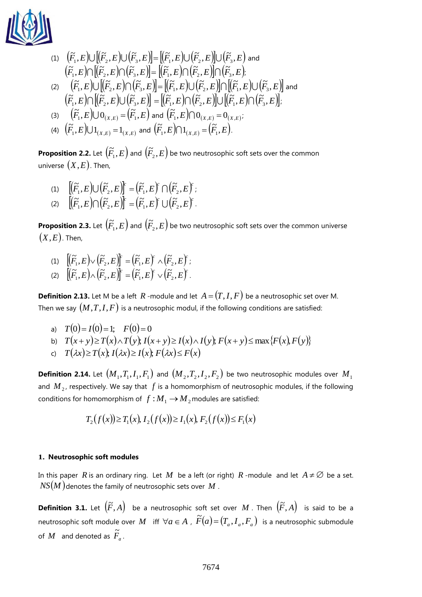

(1) 
$$
(\widetilde{F}_1, E) \cup [(\widetilde{F}_2, E) \cup (\widetilde{F}_3, E)] = [(\widetilde{F}_1, E) \cup (\widetilde{F}_2, E)] \cup (\widetilde{F}_3, E) \text{ and}
$$

$$
(\widetilde{F}_1, E) \cap [(\widetilde{F}_2, E) \cap (\widetilde{F}_3, E)] = [(\widetilde{F}_1, E) \cap (\widetilde{F}_2, E)] \cap (\widetilde{F}_3, E);
$$

$$
(2) \quad (\widetilde{F}_1, E) \cup [(\widetilde{F}_2, E) \cap (\widetilde{F}_3, E)] = [(\widetilde{F}_1, E) \cup (\widetilde{F}_2, E)] \cap [(\widetilde{F}_1, E) \cup (\widetilde{F}_3, E)] \text{ and}
$$

$$
(\widetilde{F}_1, E) \cap [(\widetilde{F}_2, E) \cup (\widetilde{F}_3, E)] = [(\widetilde{F}_1, E) \cap (\widetilde{F}_2, E)] \cup [(\widetilde{F}_1, E) \cap (\widetilde{F}_3, E)].
$$

$$
(3) \quad (\widetilde{F}_1, E) \cup 0_{(X,E)} = (\widetilde{F}_1, E) \text{ and } (\widetilde{F}_1, E) \cap 0_{(X,E)} = 0_{(X,E)};
$$

$$
(4) \quad (\widetilde{F}_1, E) \cup 1 \text{ and } (\widetilde{F}_1, E) \cap 1 \text{ and } (\widetilde{F}_1, E) \cap 1 \text{ and } (\widetilde{F}_1, E) \cap 1 \text{ and } (\widetilde{F}_1, E) \cap 1 \text{ and } (\widetilde{F}_1, E) \text{ and } (\widetilde{F}_1, E) \text{ and } (\widetilde{F}_1, E) \text{ and } (\widetilde{F}_1, E) \text{ and } (\widetilde{F}_1, E) \text{ and } (\widetilde{F}_1, E) \text{ and } (\widetilde{F}_1, E) \text{ and } (\widetilde{F}_1, E) \text{ and } (\widetilde{F}_1, E) \text{ and } (\widetilde{F}_1, E) \text{ and } (\widetilde{F}_1, E) \text{ and } (\widetilde{F}_1, E) \text{ and } (\widet
$$

(4) 
$$
(\widetilde{F}_1, E) \cup 1_{(X,E)} = 1_{(X,E)}
$$
 and  $(\widetilde{F}_1, E) \cap 1_{(X,E)} = (\widetilde{F}_1, E)$ .

**Proposition 2.2.** Let  $\left(\widetilde{F}_{1},E\right)$  $\left(\tilde{F}_{2},E\right)$  and  $\left(\tilde{F}_{2},E\right)^{2}$  $\mathcal{F}_{2},E\big)$  be two neutrosophic soft sets over the common universe  $(X,E)$ . Then,

$$
(1) \quad \left[ \left( \widetilde{F}_1, E \right) \cup \left( \widetilde{F}_2, E \right) \right]^r = \left( \widetilde{F}_1, E \right)^r \cap \left( \widetilde{F}_2, E \right)^r;
$$
\n
$$
(2) \quad \left[ \left( \widetilde{\Xi} - E \right) \cap \left( \widetilde{\Xi} - E \right)^r \right] \left( \widetilde{\Xi} - E \right)^r.
$$

(2)  $[(\widetilde{F}_1, E) \cap (\widetilde{F}_2, E)]^c = (\widetilde{F}_1, E)^c \cup (\widetilde{F}_2, E)^c.$ 

**Proposition 2.3.** Let  $\left(\widetilde{F}_{1},E\right)$  $\left(\tilde{F}_{2},E\right)$  and  $\left(\tilde{F}_{2},E\right)^{2}$  $\mathcal{F}_{2},E\big)$  be two neutrosophic soft sets over the common universe  $(X,E)$ . Then,

(1)  $\left[\left(\widetilde{F}_1, E\right) \vee \left(\widetilde{F}_2, E\right)\right]^c = \left(\widetilde{F}_1, E\right)^c \wedge \left(\widetilde{F}_2, E\right)^c;$ (2)  $\left[\left(\widetilde{F}_1,E\right)\right]\left(\widetilde{F}_2,E\right)\right]^r = \left(\widetilde{F}_1,E\right)^r\vee\left(\widetilde{F}_2,E\right)^r.$ 

**Definition 2.13.** Let M be a left R -module and let  $A = (T, I, F)$  be a neutrosophic set over M. Then we say  $(M,T,I,F)$  is a neutrosophic modul, if the following conditions are satisfied:

- a)  $T(0) = I(0) = 1;$   $F(0) = 0$
- b)  $T(x+y) \geq T(x) \wedge T(y)$ ;  $I(x+y) \geq I(x) \wedge I(y)$ ;  $F(x+y) \leq \max\{F(x), F(y)\}$
- c)  $T(\lambda x) \geq T(x)$ ;  $I(\lambda x) \geq I(x)$ ;  $F(\lambda x) \leq F(x)$

 $\bf{Definition 2.14.}$  Let  $\left(M_{1}, T_{1}, I_{1}, F_{1}\right)$  and  $\left(M_{2}, T_{2}, I_{2}, F_{2}\right)$  be two neutrosophic modules over  $M_{1}$ and  $M_{2}$ , respectively. We say that  $f$  is a homomorphism of neutrosophic modules, if the following conditions for homomorphism of  $f : M_1 \to M_2$  modules are satisfied:

$$
T_2(f(x)) \ge T_1(x), \ I_2(f(x)) \ge I_1(x), \ F_2(f(x)) \le F_1(x)
$$

#### **1. Neutrosophic soft modules**

In this paper  $R$  is an ordinary ring. Let  $M$  be a left (or right)  $R$  -module and let  $A \neq \emptyset$  be a set. *NS*(*M* ) denotes the family of neutrosophic sets over *M* .

**Definition 3.1.** Let  $(\widetilde{F}, A)$  be a neutrosophic soft set over  $M$  . Then  $(\widetilde{F}, A)$  is said to be a neutrosophic soft module over M iff  $\forall a \in A$  ,  $\widetilde{F}(a) = (T_a, I_a, F_a)$  is a neutrosophic submodule of  $M$  and denoted as  $\widetilde{F}_a$ .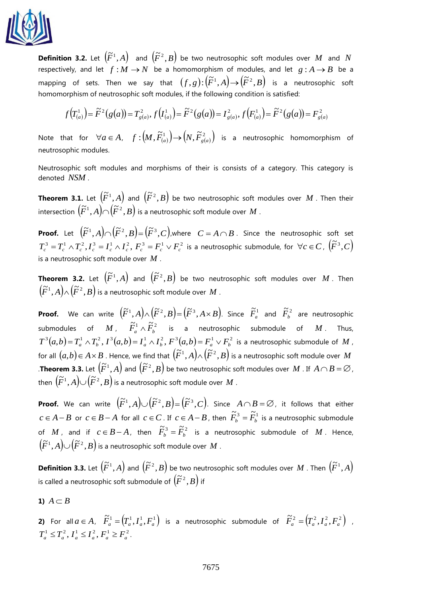

**Definition 3.2.** Let  $(\widetilde{F}^1, A)$  and  $(\widetilde{F}^2, B)$  be two neutrosophic soft modules over M and N respectively, and let  $f : M \to N$  be a homomorphism of modules, and let  $g : A \to B$  be a mapping of sets. Then we say that  $(f, g)$ : $(\widetilde{F}^1, A)$   $\rightarrow$   $(\widetilde{F}^2, B)$  is a neutrosophic soft homomorphism of neutrosophic soft modules, if the following condition is satisfied:

$$
f(T^1_{(a)}) = \tilde{F}^2(g(a)) = T^2_{g(a)}, f(T^1_{(a)}) = \tilde{F}^2(g(a)) = T^2_{g(a)}, f(F^1_{(a)}) = \tilde{F}^2(g(a)) = F^2_{g(a)}
$$

Note that for  $\forall a \in A$ ,  $f : (M, \widetilde{F}_{(a)}^1) \rightarrow (N, \widetilde{F}_{g(a)}^2)$  is a neutrosophic homomorphism of neutrosophic modules.

Neutrosophic soft modules and morphisms of their is consists of a category. This category is denoted *NSM* .

**Theorem 3.1.** Let  $(\widetilde{F}^1, A)$  and  $(\widetilde{F}^2, B)$  be two neutrosophic soft modules over  $M$  . Then their  $\widetilde{F}^{1}(A)\cap (\widetilde{F}^{2},B)$  is a neutrosophic soft module over  $M$  .

**Proof.** Let  $(\widetilde{F}^1, A) \cap (\widetilde{F}^2, B) = (\widetilde{F}^3, C)$ , where  $C = A \cap B$  . Since the neutrosophic soft set  $T_c^3 = T_c^1 \wedge T_c^2$ ,  $I_c^3 = I_c^1 \wedge I_c^2$ ,  $F_c^3 = F_c^1 \vee F_c^2$  is a neutrosophic submodule, for  $\forall c \in C$ ,  $(\widetilde{F}^3, C)$ is a neutrosophic soft module over *M* .

**Theorem 3.2.** Let  $(\widetilde{F}^1, A)$  and  $(\widetilde{F}^2, B)$  be two neutrosophic soft modules over  $M$ . Then  $(\widetilde{F}^1,A)\wedge(\widetilde{F}^2,B)$  is a neutrosophic soft module over  $M$  .

**Proof.** We can write  $(\widetilde{F}^1, A) \wedge (\widetilde{F}^2, B) = (\widetilde{F}^3, A \times B)$ . Since  $\widetilde{F}_a^1$  and  $\widetilde{F}_b^2$  are neutrosophic submodules of  $M$ ,  $\widetilde{F}_{a}^{1} \wedge \widetilde{F}_{b}^{2}$  is a neutrosophic submodule of  $M$ . Thus,  $T^3(a,b)=T_a^1\wedge T_b^2$ ,  $I^3(a,b)=I_a^1\wedge I_b^2$ ,  $F^3(a,b)=F_a^1\vee F_b^2$  is a neutrosophic submodule of  $M$ , for all  $(a,b) \in A \times B$  . Hence, we find that  $(\widetilde{F}^1, A) \wedge (\widetilde{F}^2, B)$  is a neutrosophic soft module over  $M$ **Theorem 3.3.** Let  $(\widetilde{F}^1, A)$  and  $(\widetilde{F}^2, B)$  be two neutrosophic soft modules over M. If  $A \cap B = \varnothing$ , then  $\left(\widetilde{F}^1,A\right)\!\!\cup\!\left(\widetilde{F}^2,B\right)$  is a neutrosophic soft module over  $M$  .

**Proof.** We can write  $(\widetilde{F}^1, A) \cup (\widetilde{F}^2, B) = (\widetilde{F}^3, C)$ . Since  $A \cap B = \varnothing$ , it follows that either *c* ∈ *A* − *B* or  $c$  ∈ *B* − *A* for all  $c$  ∈ *C*. If  $c$  ∈ *A* − *B*, then  $\widetilde{F}_b^3 = \widetilde{F}_b^1$  is a neutrosophic submodule of *M*, and if  $c \in B - A$ , then  $\widetilde{F}_b^3 = \widetilde{F}_b^2$  is a neutrosophic submodule of *M*. Hence,  $\left(\widetilde{F}^1,A\right)\!\cup\!\left(\widetilde{F}^2,B\right)$  is a neutrosophic soft module over  $M$  .

**Definition 3.3.** Let  $(\widetilde{F}^1, A)$  and  $(\widetilde{F}^2, B)$  be two neutrosophic soft modules over  $M$  . Then  $(\widetilde{F}^1, A)$ is called a neutrosophic soft submodule of  $(\widetilde{F}^2,B)$  if

$$
1) A \subset B
$$

**2)** For all  $a \in A$ ,  $\widetilde{F}_a^1 = (T_a^1, I_a^1, F_a^1)$  is a neutrosophic submodule of  $\widetilde{F}_a^2 = (T_a^2, I_a^2, F_a^2)$  ,  $T_a^1 \leq T_a^2$ ,  $I_a^1 \leq I_a^2$ ,  $F_a^1 \geq F_a^2$ .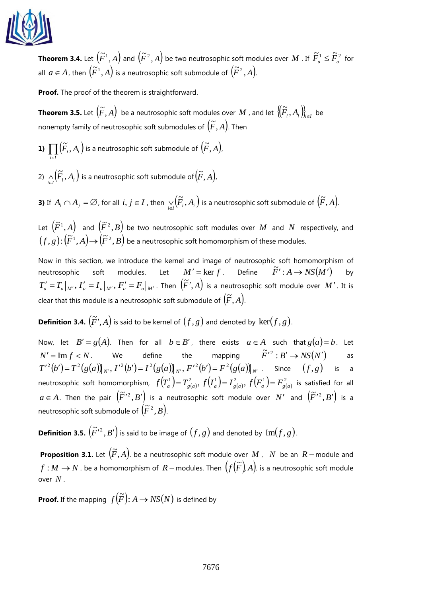

**Theorem 3.4.** Let  $(\widetilde{F}^1,A)$  and  $(\widetilde{F}^2,A)$  be two neutrosophic soft modules over  $M$  . If  $\tilde{F}^1_a\leq \tilde{F}^2_a$  for all  $a \in A$ , then  $(\widetilde{F}^1, A)$  is a neutrosophic soft submodule of  $(\widetilde{F}^2, A)$ .

**Proof.** The proof of the theorem is straightforward.

**Theorem 3.5.** Let  $\left(\widetilde{F},A\right)$  be a neutrosophic soft modules over  $M$  , and let  $\left\{\widetilde{F}_i,A_i\right\}_{i\in I}$  be nonempty family of neutrosophic soft submodules of  $(\widetilde{F}, A)$ . Then

**1)**  $\prod \left( \widetilde{F}_{i}, A_{i} \right)$  is a neutrosophic soft submodule of  $\left( \widetilde{F}, A \right)$ , *iI*

**1)**  $\prod_{i \in I} (F_i, A_i)$  is a neutrosophic soft submodule of  $(F, A)$ ,<br>2)  $\bigwedge_{i \in I} (\widetilde{F}_i, A_i)$  is a neutrosophic soft submodule of  $(\widetilde{F}, A)$ ,  $\bigwedge_{i\in I}\!\!\big(\!\tilde{F}_{_{i}},A_{_{i}}\big)$  is a neutrosophic soft submodule of  $\!\!\big(\!\tilde{F},A\big)\!$  ,

**3)** If  $A_i \cap A_j = \varnothing$ , for all  $i, j \in I$  , then  $\bigvee_{i \in I} (\widetilde{F}_i, A_i)$  $\bigtriangledown_{i\in I}\bigl(\widetilde{F}_{i},A_{i}\bigr)$  is a neutrosophic soft submodule of  $\bigl(\widetilde{F},A\bigr).$ 

Let  $(\widetilde{F}^1,A)$  and  $(\widetilde{F}^2,B)$  be two neutrosophic soft modules over  $M$  and  $N$  respectively, and  $(f,g)$  :  $(\widetilde{F}^1,A){\rightarrow} \widetilde{(F}^2,B)$  be a neutrosophic soft homomorphism of these modules.

Now in this section, we introduce the kernel and image of neutrosophic soft homomorphism of neutrosophic soft modules. Let  $M' = \ker f$ . Define  $\tilde{F}' : A \rightarrow NS(M')$ by  $T'_a = T_a|_{M'}, I'_a = I_a|_{M'}, F'_a = F_a|_{M'}$ . Then  $(\widetilde{F}', A)$  is a neutrosophic soft module over  $M'$ . It is clear that this module is a neutrosophic soft submodule of  $(\widetilde{F},A)$ .

**Definition 3.4.**  $(\widetilde{F}', A)$  is said to be kernel of  $(f, g)$  and denoted by  $\ker(f, g)$ .

Now, let  $B' = g(A)$ . Then for all  $b \in B'$ , there exists  $a \in A$  such that  $g(a) = b$ . Let  $N' = \text{Im } f < N$ We define the  $\widetilde{F}'^2 : B' \to NS(N')$ as  $T'^{\,2}(b')$  =  $T^{\,2}(g(a))_{N'},$   $I'^{\,2}(b')$  =  $I^{\,2}(g(a))_{N'},$   $F'^{\,2}(b')$  =  $F^{\,2}(g(a))_{N'}$  . Since  $(f\,,g)$  is a neutrosophic soft homomorphism,  $f(T_a^1)=T_{g(a)}^2$ ,  $f(I_a^1)=I_{g(a)}^2$ ,  $f(F_a^1)=F_{g(a)}^2$  is satisfied for all  $a \in A$ . Then the pair  $(F'^2, B')$  is a neutrosophic soft module over N' and  $(F'^2, B')$  is a neutrosophic soft submodule of  $(\widetilde{F}^2,B)$ .

**Definition 3.5.**  $(\widetilde{F}'^2, B')$  is said to be image of  $(f, g)$  and denoted by  $\text{Im}(f, g)$ .

**Proposition 3.1.** Let  $(\widetilde{F}, A)$ . be a neutrosophic soft module over  $M$ ,  $N$  be an  $R$  – module and *f* ∶ *M* → *N* . be a homomorphism of R – modules. Then  $(f(\widetilde{F}), A)$  is a neutrosophic soft module over *N* .

**Proof.** If the mapping  $f(\widetilde{F})$ :  $A \rightarrow NS(N)$  is defined by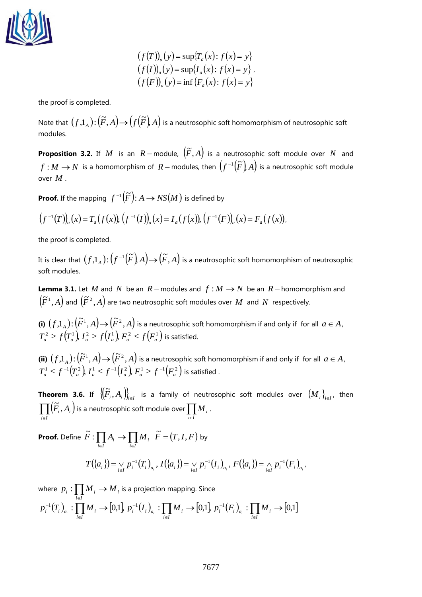

$$
(f(T))_a(y) = \sup\{T_a(x): f(x) = y\}
$$
  
\n
$$
(f(I))_a(y) = \sup\{I_a(x): f(x) = y\},
$$
  
\n
$$
(f(F))_a(y) = \inf\{F_a(x): f(x) = y\}
$$

the proof is completed.

Note that  $(f,1_{_A})$  :  $\left(\widetilde{F},A\right)$   $\rightarrow$   $\left(f\left(\widetilde{F}\right)A\right)$  is a neutrosophic soft homomorphism of neutrosophic soft modules.

**Proposition 3.2.** If M is an  $R$  – module,  $(\widetilde{F}, A)$  is a neutrosophic soft module over N and  $f : M \to N$  is a homomorphism of  $R-$  modules, then  $(f^{-1}(\widetilde{F}), A)$  is a neutrosophic soft module over *M* .

**Proof.** If the mapping  $f^{-1}(\widetilde{F})$ :  $A \rightarrow NS(M)$  is defined by

 $(f^{-1}(T))_a(x) = T_a(f(x))$ ,  $(f^{-1}(I))_a(x) = I_a(f(x))$ ,  $(f^{-1}(F))_a(x) = F_a(f(x))$  $(-1(T))_a(x) = T_a(f(x)), (f^{-1}(I))_a(x) = I_a(f(x)), (f^{-1}(F))_a(x) = F_a(f(x)),$ 

the proof is completed.

It is clear that  $\big(f.\mathbb{1}_A\big){:}\big(f^{-1}\big(\widetilde{F}\big)A\big){\rightarrow}\big(\widetilde{F},A\big)$  is a neutrosophic soft homomorphism of neutrosophic soft modules.

**Lemma 3.1.** Let M and N be an  $R$  – modules and  $f : M \rightarrow N$  be an  $R$  – homomorphism and  $(\widetilde{F}^1, A)$  and  $(\widetilde{F}^2, A)$  are two neutrosophic soft modules over  $M$  and  $N$  respectively.

**(i)**  $(f,1_A): (\tilde{F}^1, A) \rightarrow (\tilde{F}^2, A)$  is a neutrosophic soft homomorphism if and only if for all  $a \in A$ ,  $T_a^2 \geq f(T_a^1)$ ,  $T_a^2 \geq f(T_a^1)$ ,  $F_a^2 \leq f(F_a^1)$  is satisfied.

(ii)  $(f,1_A): (\tilde{F}^1, A) \rightarrow (\tilde{F}^2, A)$  is a neutrosophic soft homomorphism if and only if for all  $a \in A$ ,  $T^1_a \leq f^{-1}\big(T^2_a\big)$   $I^1_a \leq f^{-1}\big(I^2_a\big)$   $F^1_a \geq f^{-1}\big(F^2_a\big)$  is satisfied .

**Theorem 3.6.** If  $\left\{\widetilde{F}_i, A_i\right\}_{i\in I}$  is a family of neutrosophic soft modules over  $\left\{M_i\right\}_{i\in I}$ , then  $\prod_{i\in I} (\widetilde{F}_{i},A_{i})$  $(\widetilde{F}_i, A_i)$  is a neutrosophic soft module over  $\prod_{i \in I}$  $M_{\overline{i}}$ .

**Proof.** Define  $\widetilde{F}: \prod_{i\in I} A_i \to \prod_{i\in I}$  $\rightarrow$ *i I i i I*  $\widetilde{F}: \prod A_i \to \prod M_i$ ,  $\widetilde{F} = (T, I, F)$  by

$$
T(\{a_i\}) = \bigvee_{i \in I} p_i^{-1}(T_i)_{a_i}, I(\{a_i\}) = \bigvee_{i \in I} p_i^{-1}(I_i)_{a_i}, F(\{a_i\}) = \bigwedge_{i \in I} p_i^{-1}(F_i)_{a_i}.
$$

where  $\;p_i:\prod M_i\to M_i$  is a projection mapping. Since *i* ∈*I*  $(T_i)_{a_i} : \prod_{i \in I} M_i \to [0,1], p_i^{-1}(I_i)_{a_i} : \prod_{i \in I} M_i \to [0,1], p_i^{-1}(F_i)_{a_i} : \prod_{i \in I} M_i \to [0,1]$ − iε − iε  $\overline{P}_i^{-1}(T_i)$  :  $\prod M_i \to [0,1]$ ,  $p_i^{-1}(I_i)$  :  $\prod M_i \to [0,1]$ ,  $p_i^{-1}(F_i)$  :  $\prod M_i \to$  $p_i^{-1}(T_i)_{a_i} : \prod_{i \in I} M_i \to [0,1], p_i^{-1}(I_i)_{a_i} : \prod_{i \in I} M_i \to [0,1], p_i^{-1}(F_i)_{a_i} : \prod_{i \in I} M_i \to [0,1]$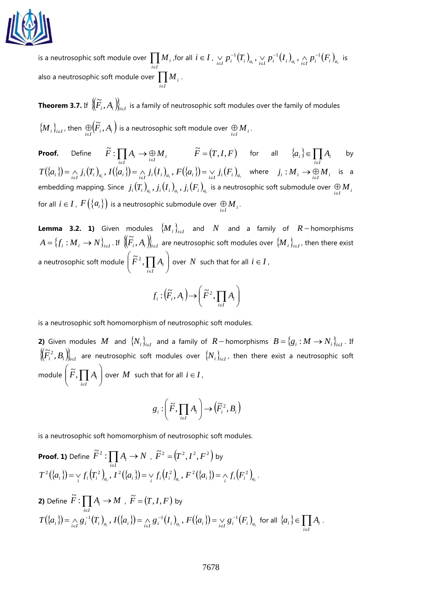

is a neutrosophic soft module over  $\prod\limits_{i\in I}$  $M$  , , for all  $i\in I$  ,  $\underset{i\in I}{\vee}p_i^{-1}\big(T_i\big)_{a_i}, \underset{i\in I}{\vee}p_i^{-1}\big(I_i\big)_{a_i}, \underset{i\in I}{\wedge}p_i^{-1}\big(F_i\big)_{a_i}$ i∈ − .<br>€ −  $\bigtriangledown_{i\in I}p_{i}^{-1}(T_{i})_{_{a_{i}}}, \bigtriangledown_{i\in I}p_{i}^{-1}(I_{i})_{_{a_{i}}}, \bigtriangleup_{i\in I}p_{i}^{-1}(F_{i})_{_{a_{i}}}$  is also a neutrosophic soft module over  $\prod\limits_{i\in I}$  $M_{\overline{i}}$ .

**Theorem 3.7.** If  $\left\{\! \left(\! \widetilde{F}_i, A_i \right)\! \right\}_{i \in I}$  is a family of neutrosophic soft modules over the family of modules  $\{\boldsymbol{M}_i\}_{i\in I}$ , then  $\bigoplus_{i\in I}(\widetilde{F}_i,A_i\big)$  $\bigoplus \limits_{i \in I} (\tilde{F}_{_{i}}, A_{_{i}})$  is a neutrosophic soft module over  $\bigoplus \limits_{i \in I} {{M}_{_{i}}}.$ 

**Proof.** Define  $F: \prod_{i \in I} A_i \to \bigoplus_{i \in I} M_i$  $\widetilde{F}$  :  $\prod_{i\in I} A_i \to \bigoplus_{i\in I} M_i$   $\widetilde{F} = (T, I, F)$  for all  $\{a_i\} \in \prod_{i\in I}$  $\in$ *i* ∈*I*  $a_i \in \prod A_i$  by  $T(\{a_i\}) = \bigwedge_{i \in I} j_i(T_i)_{a_i}$ ,  $I(\{a_i\}) = \bigwedge_{i \in I} j_i(I_i)_{a_i}$ ,  $F(\{a_i\}) = \bigvee_{i \in I} j_i(F_i)_{a_i}$  where  $j_i : M_i \to \bigoplus_{i \in I} M_i$  is a embedding mapping. Since  $\;j_i(T_i)_{_{a_i}}, j_i(I_i)_{_{a_i}}, j_i(F_i)_{_{a_i}}\;$ is a neutrosophic soft submodule over  $\;\oplus\; M_{_{i}}\;$ for all  $i \in I$  ,  $F\big(\big\{a_i\big\}\big)$  is a neutrosophic submodule over  $\bigoplus\limits_{i \in I} M_i$  .

**Lemma 3.2. 1)** Given modules  ${M_i}_{i \in I}$  and *N* and a family of *R* − homorphisms  $A=\{f_i: M_i\to N\}_{i\in I}$ . If  $\left\{\widetilde{F}_i,A_i\right\}_{i\in I}$  are neutrosophic soft modules over  $\{M_i\}_{i\in I}$ , then there exist a neutrosophic soft module  $\left|\right.{\bar F}^2,\prod A_i\left.\right|$  $\bigg)$  $\setminus$  $\overline{\phantom{a}}$  $\displaystyle \Bigg( \widetilde{F}^{\,2}, \prod_{i \in I}$  $\widetilde{F}^{\,2}, \prod A_i \Bigm\vert \text{over } N$  such that for all  $i \in I$  ,

$$
f_i: (\widetilde{F}_i, A_i) \to (\widetilde{F}^2, \prod_{i \in I} A_i)
$$

is a neutrosophic soft homomorphism of neutrosophic soft modules.

**2)** Given modules  $M$  and  $\{N_i\}_{i\in I}$  and a family of  $R$  – homorphisms  $B = \{g_i : M \to N_i\}_{i\in I}$ . If  $\{(\widetilde{F}_{i}^{2}, B_{i})\}_{i\in I}$  are neutrosophic soft modules over  $\{N_{i}\}_{i\in I}$ , then there exist a neutrosophic soft module  $\left|\right.\tilde{F},\prod A_{i}\left.\right|$ J  $\setminus$  $\overline{\phantom{a}}$  $\displaystyle \Biggl( \widetilde{F}, \prod_{i \in I}$  $\widetilde{F}, \prod A_i \bigg\}$  over  $M$  such that for all  $i \in I$  ,

$$
g_i: \left(\widetilde{F}, \prod_{i \in I} A_i\right) \to \left(\widetilde{F}_i^2, B_i\right)
$$

is a neutrosophic soft homomorphism of neutrosophic soft modules.

**Proof. 1)** Define 
$$
\tilde{F}^2
$$
:  $\prod_{i \in I} A_i \to N$ ,  $\tilde{F}^2 = (T^2, I^2, F^2)$  by  
\n
$$
T^2(\{a_i\}) = \vee_i f_i(T_i^2)_{a_i}, I^2(\{a_i\}) = \vee_i f_i(I_i^2)_{a_i}, F^2(\{a_i\}) = \wedge_i f_i(F_i^2)_{a_i}.
$$

**2)** Define 
$$
\tilde{F}: \prod_{i\in I} A_i \to M
$$
,  $\tilde{F} = (T, I, F)$  by  
\n
$$
T(\{a_i\}) = \bigwedge_{i\in I} g_i^{-1}(T_i)_{a_i}, I(\{a_i\}) = \bigwedge_{i\in I} g_i^{-1}(I_i)_{a_i}, F(\{a_i\}) = \bigvee_{i\in I} g_i^{-1}(F_i)_{a_i} \text{ for all } \{a_i\} \in \prod_{i\in I} A_i.
$$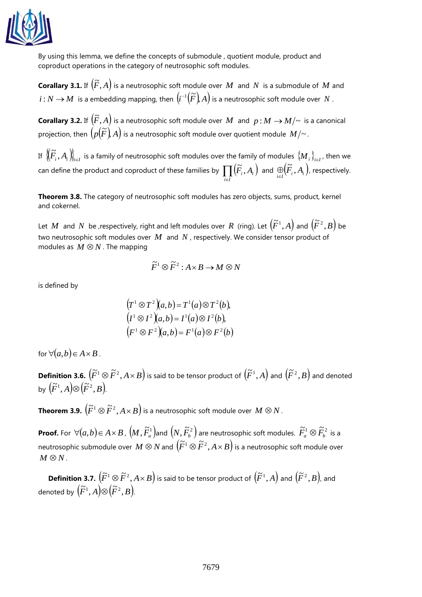

By using this lemma, we define the concepts of submodule , quotient module, product and coproduct operations in the category of neutrosophic soft modules.

**Corallary 3.1.** If  $(\widetilde{F}, A)$  is a neutrosophic soft module over  $M$  and  $N$  is a submodule of  $M$  and  $i : N \to M$  is a embedding mapping, then  $\left(i^{-1}\left(\widetilde{F}\right)A\right)$  is a neutrosophic soft module over  $N$  .

**Corallary 3.2.** If  $(\widetilde{F}, A)$  is a neutrosophic soft module over  $M$  and  $p : M \to M/\sim$  is a canonical projection, then  $\left(\rho(\widetilde{F})\right)A\right)$  is a neutrosophic soft module over quotient module  $M/\sim$ .

If  $\big\{\! \big(\! \widetilde{F}_i, A_i \big) \! \big\}_{i \in I}$  is a family of neutrosophic soft modules over the family of modules  $\{ \! M_i \! \}_{i \in I}$ , then we can define the product and coproduct of these families by  $\prod\limits_{i \in I} \bigl( \widetilde{F}_{i}, A_{i} \bigr)$  $\left(\widetilde{F}_{i}, A_{i}\right)$  and  $\underset{i \in I}{\oplus} \left(\widetilde{F}_{i}, A_{i}\right)$  $\bigoplus \limits_{i \in I} (\widetilde{F}_{i}, A_{i}^{})$ , respectively.

**Theorem 3.8.** The category of neutrosophic soft modules has zero objects, sums, product, kernel and cokernel.

Let  $M$  and  $N$  be ,respectively, right and left modules over  $R$  (ring). Let  $(\widetilde{F}^1, A)$  and  $(\widetilde{F}^2, B)$  be two neutrosophic soft modules over  $M$  and  $N$ , respectively. We consider tensor product of modules as  $M \otimes N$ . The mapping

$$
\widetilde{F}^1 \otimes \widetilde{F}^2 : A \times B \to M \otimes N
$$

is defined by

$$
(T1 \otimes T2)(a,b) = T1(a) \otimes T2(b),(I1 \otimes I2)(a,b) = I1(a) \otimes I2(b),(F1 \otimes F2)(a,b) = F1(a) \otimes F2(b)
$$

for  $\forall (a,b) \in A \times B$ .

**Definition 3.6.**  $(\widetilde{F}^1 \otimes \widetilde{F}^2, A \times B)$  is said to be tensor product of  $(\widetilde{F}^1, A)$  and  $(\widetilde{F}^2, B)$  and denoted by  $(\widetilde{F}^1, A) \otimes (\widetilde{F}^2, B)$ .

 $\overline{\mathbf{Theorem 3.9.}}\left(\widetilde{F}^1\otimes \widetilde{F}^2,A\times B\right)$  is a neutrosophic soft module over  $M\otimes N$  .

**Proof.** For  $\forall (a,b) \in A \times B$  ,  $(M, \tilde{F}^1_a)$ and  $(N, \tilde{F}^2_b)$  are neutrosophic soft modules.  $\tilde{F}^1_a \otimes \tilde{F}^2_b$  is a neutrosophic submodule over  $M \otimes N$  and  $(F^1 \otimes \tilde{F}^2, A \times B)$  is a neutrosophic soft module over  $M \otimes N$ .

**Definition 3.7.**  $\left(\widetilde{F}^1 \otimes \widetilde{F}^2, A \times B \right)$  is said to be tensor product of  $\left(\widetilde{F}^1, A \right)$  and  $\left(\widetilde{F}^2, B \right)$ , and denoted by  $\left(\widetilde{F}^1,A\right)\otimes\left(\widetilde{F}^2,B\right)$ .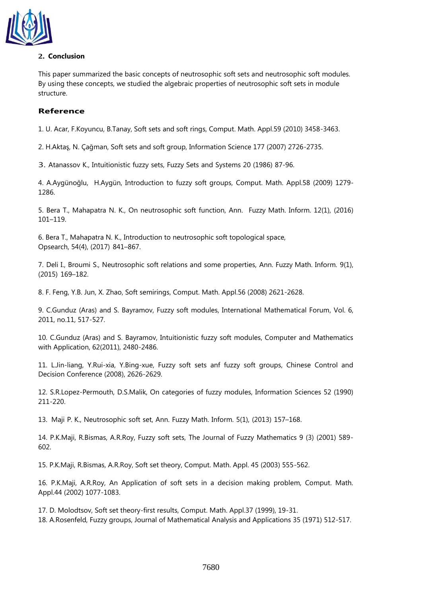

# **2. Conclusion**

This paper summarized the basic concepts of neutrosophic soft sets and neutrosophic soft modules. By using these concepts, we studied the algebraic properties of neutrosophic soft sets in module structure.

# **Reference**

1. U. Acar, F.Koyuncu, B.Tanay, Soft sets and soft rings, Comput. Math. Appl.59 (2010) 3458-3463.

2. H.Aktaş, N. Çağman, Soft sets and soft group, Information Science 177 (2007) 2726-2735.

3. Atanassov K., Intuitionistic fuzzy sets, Fuzzy Sets and Systems 20 (1986) 87-96.

4. A.Aygünoğlu, H.Aygün, Introduction to fuzzy soft groups, Comput. Math. Appl.58 (2009) 1279- 1286.

5. Bera T., Mahapatra N. K., On neutrosophic soft function, Ann. Fuzzy Math. Inform. 12(1), (2016) 101–119.

6. Bera T., Mahapatra N. K., Introduction to neutrosophic soft topological space, Opsearch, 54(4), (2017) 841–867.

7. Deli I., Broumi S., Neutrosophic soft relations and some properties, Ann. Fuzzy Math. Inform. 9(1), (2015) 169–182.

8. F. Feng, Y.B. Jun, X. Zhao, Soft semirings, Comput. Math. Appl.56 (2008) 2621-2628.

9. C.Gunduz (Aras) and S. Bayramov, Fuzzy soft modules, International Mathematical Forum, Vol. 6, 2011, no.11, 517-527.

10. C.Gunduz (Aras) and S. Bayramov, Intuitionistic fuzzy soft modules, Computer and Mathematics with Application, 62(2011), 2480-2486.

11. L.Jin-liang, Y.Rui-xia, Y.Bing-xue, Fuzzy soft sets anf fuzzy soft groups, Chinese Control and Decision Conference (2008), 2626-2629.

12. S.R.Lopez-Permouth, D.S.Malik, On categories of fuzzy modules, Information Sciences 52 (1990) 211-220.

13. Maji P. K., Neutrosophic soft set, Ann. Fuzzy Math. Inform. 5(1), (2013) 157–168.

14. P.K.Maji, R.Bismas, A.R.Roy, Fuzzy soft sets, The Journal of Fuzzy Mathematics 9 (3) (2001) 589- 602.

15. P.K.Maji, R.Bismas, A.R.Roy, Soft set theory, Comput. Math. Appl. 45 (2003) 555-562.

16. P.K.Maji, A.R.Roy, An Application of soft sets in a decision making problem, Comput. Math. Appl.44 (2002) 1077-1083.

17. D. Molodtsov, Soft set theory-first results, Comput. Math. Appl.37 (1999), 19-31. 18. A.Rosenfeld, Fuzzy groups, Journal of Mathematical Analysis and Applications 35 (1971) 512-517.